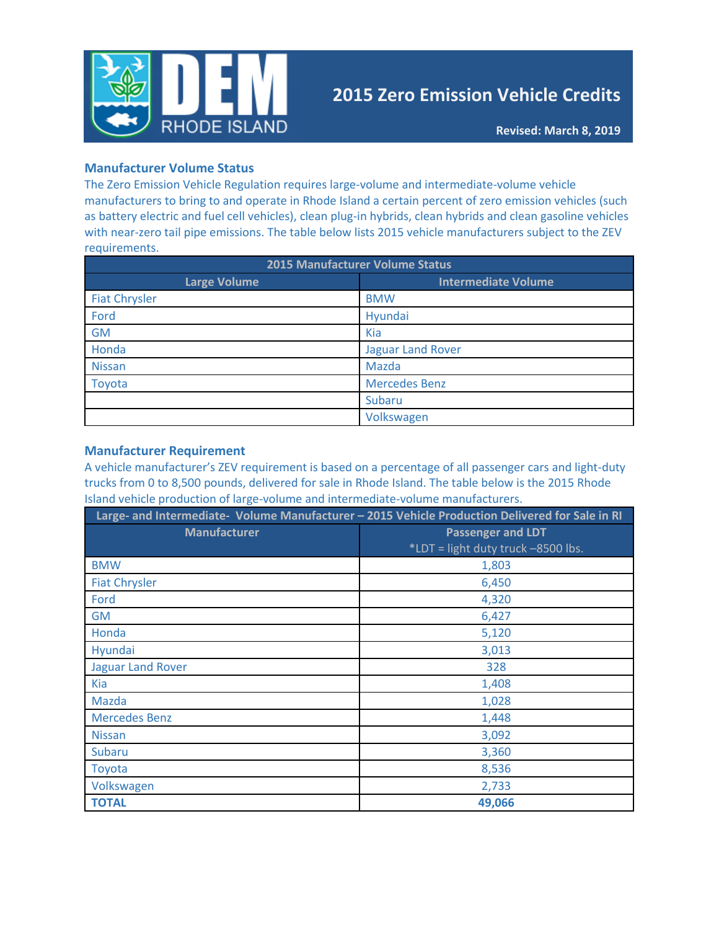

# **2015 Zero Emission Vehicle Credits**

### **Manufacturer Volume Status**

The Zero Emission Vehicle Regulation requires large-volume and intermediate-volume vehicle manufacturers to bring to and operate in Rhode Island a certain percent of zero emission vehicles (such as battery electric and fuel cell vehicles), clean plug-in hybrids, clean hybrids and clean gasoline vehicles with near-zero tail pipe emissions. The table below lists 2015 vehicle manufacturers subject to the ZEV requirements.

| 2015 Manufacturer Volume Status |                            |  |  |
|---------------------------------|----------------------------|--|--|
| <b>Large Volume</b>             | <b>Intermediate Volume</b> |  |  |
| <b>Fiat Chrysler</b>            | <b>BMW</b>                 |  |  |
| Ford                            | Hyundai                    |  |  |
| <b>GM</b>                       | Kia                        |  |  |
| Honda                           | <b>Jaguar Land Rover</b>   |  |  |
| <b>Nissan</b>                   | Mazda                      |  |  |
| Toyota                          | <b>Mercedes Benz</b>       |  |  |
|                                 | Subaru                     |  |  |
|                                 | Volkswagen                 |  |  |

#### **Manufacturer Requirement**

A vehicle manufacturer's ZEV requirement is based on a percentage of all passenger cars and light-duty trucks from 0 to 8,500 pounds, delivered for sale in Rhode Island. The table below is the 2015 Rhode Island vehicle production of large-volume and intermediate-volume manufacturers.

|                          | Large- and Intermediate- Volume Manufacturer - 2015 Vehicle Production Delivered for Sale in RI |  |  |
|--------------------------|-------------------------------------------------------------------------------------------------|--|--|
| <b>Manufacturer</b>      | <b>Passenger and LDT</b>                                                                        |  |  |
|                          | *LDT = light duty truck -8500 lbs.                                                              |  |  |
| <b>BMW</b>               | 1,803                                                                                           |  |  |
| <b>Fiat Chrysler</b>     | 6,450                                                                                           |  |  |
| Ford                     | 4,320                                                                                           |  |  |
| <b>GM</b>                | 6,427                                                                                           |  |  |
| Honda                    | 5,120                                                                                           |  |  |
| Hyundai                  | 3,013                                                                                           |  |  |
| <b>Jaguar Land Rover</b> | 328                                                                                             |  |  |
| <b>Kia</b>               | 1,408                                                                                           |  |  |
| Mazda                    | 1,028                                                                                           |  |  |
| <b>Mercedes Benz</b>     | 1,448                                                                                           |  |  |
| <b>Nissan</b>            | 3,092                                                                                           |  |  |
| <b>Subaru</b>            | 3,360                                                                                           |  |  |
| Toyota                   | 8,536                                                                                           |  |  |
| Volkswagen               | 2,733                                                                                           |  |  |
| <b>TOTAL</b>             | 49,066                                                                                          |  |  |